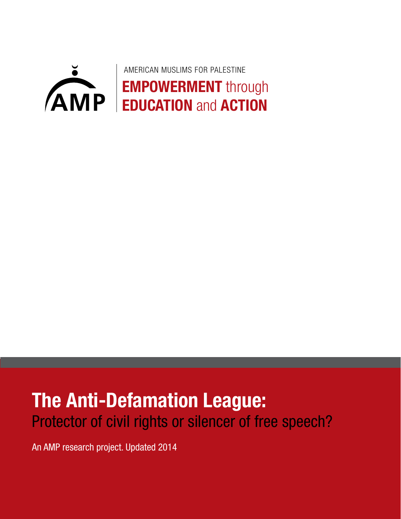

# **The Anti-Defamation League:** Protector of civil rights or silencer of free speech?

An AMP research project. Updated 2014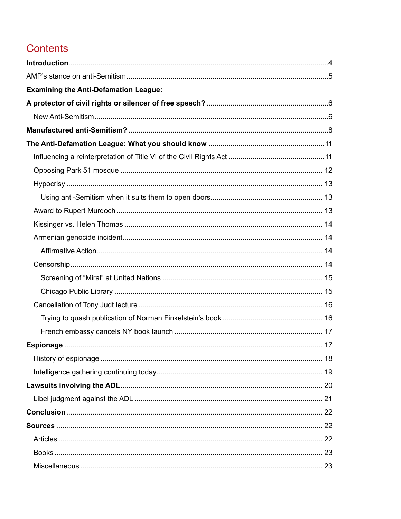# Contents

| <b>Examining the Anti-Defamation League:</b> |  |
|----------------------------------------------|--|
|                                              |  |
|                                              |  |
|                                              |  |
|                                              |  |
|                                              |  |
|                                              |  |
|                                              |  |
|                                              |  |
|                                              |  |
|                                              |  |
|                                              |  |
|                                              |  |
|                                              |  |
|                                              |  |
|                                              |  |
|                                              |  |
|                                              |  |
|                                              |  |
|                                              |  |
|                                              |  |
|                                              |  |
|                                              |  |
|                                              |  |
|                                              |  |
|                                              |  |
|                                              |  |
|                                              |  |
|                                              |  |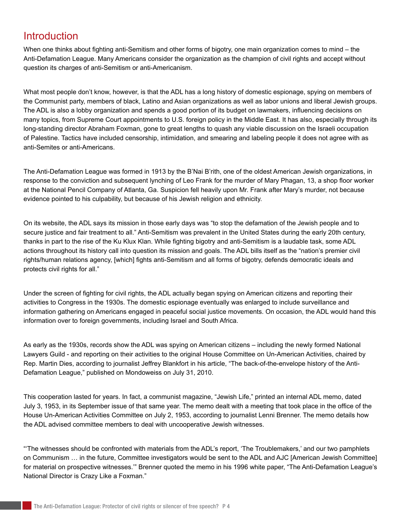### Introduction

When one thinks about fighting anti-Semitism and other forms of bigotry, one main organization comes to mind – the Anti-Defamation League. Many Americans consider the organization as the champion of civil rights and accept without question its charges of anti-Semitism or anti-Americanism.

What most people don't know, however, is that the ADL has a long history of domestic espionage, spying on members of the Communist party, members of black, Latino and Asian organizations as well as labor unions and liberal Jewish groups. The ADL is also a lobby organization and spends a good portion of its budget on lawmakers, influencing decisions on many topics, from Supreme Court appointments to U.S. foreign policy in the Middle East. It has also, especially through its long-standing director Abraham Foxman, gone to great lengths to quash any viable discussion on the Israeli occupation of Palestine. Tactics have included censorship, intimidation, and smearing and labeling people it does not agree with as anti-Semites or anti-Americans.

The Anti-Defamation League was formed in 1913 by the B'Nai B'rith, one of the oldest American Jewish organizations, in response to the conviction and subsequent lynching of Leo Frank for the murder of Mary Phagan, 13, a shop floor worker at the National Pencil Company of Atlanta, Ga. Suspicion fell heavily upon Mr. Frank after Mary's murder, not because evidence pointed to his culpability, but because of his Jewish religion and ethnicity.

On its website, the ADL says its mission in those early days was "to stop the defamation of the Jewish people and to secure justice and fair treatment to all." Anti-Semitism was prevalent in the United States during the early 20th century, thanks in part to the rise of the Ku Klux Klan. While fighting bigotry and anti-Semitism is a laudable task, some ADL actions throughout its history call into question its mission and goals. The ADL bills itself as the "nation's premier civil rights/human relations agency, [which] fights anti-Semitism and all forms of bigotry, defends democratic ideals and protects civil rights for all."

Under the screen of fighting for civil rights, the ADL actually began spying on American citizens and reporting their activities to Congress in the 1930s. The domestic espionage eventually was enlarged to include surveillance and information gathering on Americans engaged in peaceful social justice movements. On occasion, the ADL would hand this information over to foreign governments, including Israel and South Africa.

As early as the 1930s, records show the ADL was spying on American citizens – including the newly formed National Lawyers Guild - and reporting on their activities to the original House Committee on Un-American Activities, chaired by Rep. Martin Dies, according to journalist Jeffrey Blankfort in his article, "The back-of-the-envelope history of the Anti-Defamation League," published on Mondoweiss on July 31, 2010.

This cooperation lasted for years. In fact, a communist magazine, "Jewish Life," printed an internal ADL memo, dated July 3, 1953, in its September issue of that same year. The memo dealt with a meeting that took place in the office of the House Un-American Activities Committee on July 2, 1953, according to journalist Lenni Brenner. The memo details how the ADL advised committee members to deal with uncooperative Jewish witnesses.

"'The witnesses should be confronted with materials from the ADL's report, 'The Troublemakers,' and our two pamphlets on Communism … in the future, Committee investigators would be sent to the ADL and AJC [American Jewish Committee] for material on prospective witnesses.'" Brenner quoted the memo in his 1996 white paper, "The Anti-Defamation League's National Director is Crazy Like a Foxman."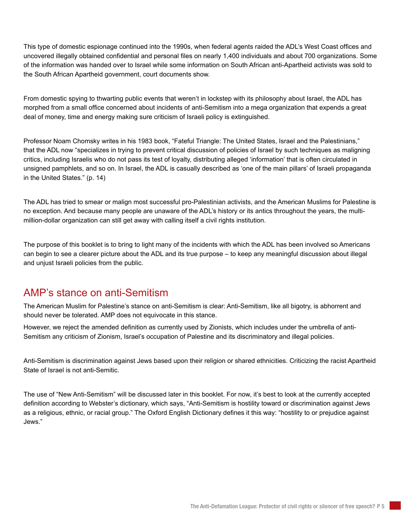This type of domestic espionage continued into the 1990s, when federal agents raided the ADL's West Coast offices and uncovered illegally obtained confidential and personal files on nearly 1,400 individuals and about 700 organizations. Some of the information was handed over to Israel while some information on South African anti-Apartheid activists was sold to the South African Apartheid government, court documents show.

From domestic spying to thwarting public events that weren't in lockstep with its philosophy about Israel, the ADL has morphed from a small office concerned about incidents of anti-Semitism into a mega organization that expends a great deal of money, time and energy making sure criticism of Israeli policy is extinguished.

Professor Noam Chomsky writes in his 1983 book, "Fateful Triangle: The United States, Israel and the Palestinians," that the ADL now "specializes in trying to prevent critical discussion of policies of Israel by such techniques as maligning critics, including Israelis who do not pass its test of loyalty, distributing alleged 'information' that is often circulated in unsigned pamphlets, and so on. In Israel, the ADL is casually described as 'one of the main pillars' of Israeli propaganda in the United States." (p. 14)

The ADL has tried to smear or malign most successful pro-Palestinian activists, and the American Muslims for Palestine is no exception. And because many people are unaware of the ADL's history or its antics throughout the years, the multimillion-dollar organization can still get away with calling itself a civil rights institution.

The purpose of this booklet is to bring to light many of the incidents with which the ADL has been involved so Americans can begin to see a clearer picture about the ADL and its true purpose – to keep any meaningful discussion about illegal and unjust Israeli policies from the public.

### AMP's stance on anti-Semitism

The American Muslim for Palestine's stance on anti-Semitism is clear: Anti-Semitism, like all bigotry, is abhorrent and should never be tolerated. AMP does not equivocate in this stance.

However, we reject the amended definition as currently used by Zionists, which includes under the umbrella of anti-Semitism any criticism of Zionism, Israel's occupation of Palestine and its discriminatory and illegal policies.

Anti-Semitism is discrimination against Jews based upon their religion or shared ethnicities. Criticizing the racist Apartheid State of Israel is not anti-Semitic.

The use of "New Anti-Semitism" will be discussed later in this booklet. For now, it's best to look at the currently accepted definition according to Webster's dictionary, which says, "Anti-Semitism is hostility toward or discrimination against Jews as a religious, ethnic, or racial group." The Oxford English Dictionary defines it this way: "hostility to or prejudice against Jews."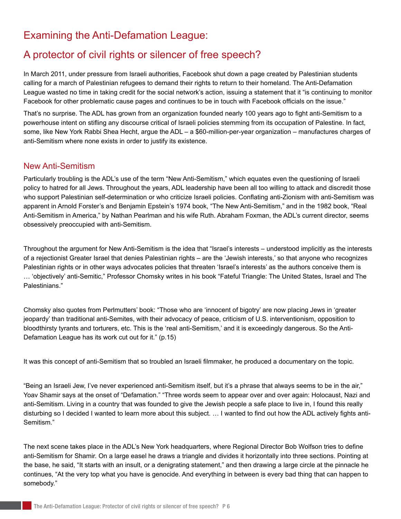# Examining the Anti-Defamation League:

# A protector of civil rights or silencer of free speech?

In March 2011, under pressure from Israeli authorities, Facebook shut down a page created by Palestinian students calling for a march of Palestinian refugees to demand their rights to return to their homeland. The Anti-Defamation League wasted no time in taking credit for the social network's action, issuing a statement that it "is continuing to monitor Facebook for other problematic cause pages and continues to be in touch with Facebook officials on the issue."

That's no surprise. The ADL has grown from an organization founded nearly 100 years ago to fight anti-Semitism to a powerhouse intent on stifling any discourse critical of Israeli policies stemming from its occupation of Palestine. In fact, some, like New York Rabbi Shea Hecht, argue the ADL – a \$60-million-per-year organization – manufactures charges of anti-Semitism where none exists in order to justify its existence.

#### New Anti-Semitism

Particularly troubling is the ADL's use of the term "New Anti-Semitism," which equates even the questioning of Israeli policy to hatred for all Jews. Throughout the years, ADL leadership have been all too willing to attack and discredit those who support Palestinian self-determination or who criticize Israeli policies. Conflating anti-Zionism with anti-Semitism was apparent in Arnold Forster's and Benjamin Epstein's 1974 book, "The New Anti-Semitism," and in the 1982 book, "Real Anti-Semitism in America," by Nathan Pearlman and his wife Ruth. Abraham Foxman, the ADL's current director, seems obsessively preoccupied with anti-Semitism.

Throughout the argument for New Anti-Semitism is the idea that "Israel's interests – understood implicitly as the interests of a rejectionist Greater Israel that denies Palestinian rights – are the 'Jewish interests,' so that anyone who recognizes Palestinian rights or in other ways advocates policies that threaten 'Israel's interests' as the authors conceive them is … 'objectively' anti-Semitic," Professor Chomsky writes in his book "Fateful Triangle: The United States, Israel and The Palestinians."

Chomsky also quotes from Perlmutters' book: "Those who are 'innocent of bigotry' are now placing Jews in 'greater jeopardy' than traditional anti-Semites, with their advocacy of peace, criticism of U.S. interventionism, opposition to bloodthirsty tyrants and torturers, etc. This is the 'real anti-Semitism,' and it is exceedingly dangerous. So the Anti-Defamation League has its work cut out for it." (p.15)

It was this concept of anti-Semitism that so troubled an Israeli filmmaker, he produced a documentary on the topic.

"Being an Israeli Jew, I've never experienced anti-Semitism itself, but it's a phrase that always seems to be in the air," Yoav Shamir says at the onset of "Defamation." "Three words seem to appear over and over again: Holocaust, Nazi and anti-Semitism. Living in a country that was founded to give the Jewish people a safe place to live in, I found this really disturbing so I decided I wanted to learn more about this subject. … I wanted to find out how the ADL actively fights anti-Semitism."

The next scene takes place in the ADL's New York headquarters, where Regional Director Bob Wolfson tries to define anti-Semitism for Shamir. On a large easel he draws a triangle and divides it horizontally into three sections. Pointing at the base, he said, "It starts with an insult, or a denigrating statement," and then drawing a large circle at the pinnacle he continues, "At the very top what you have is genocide. And everything in between is every bad thing that can happen to somebody."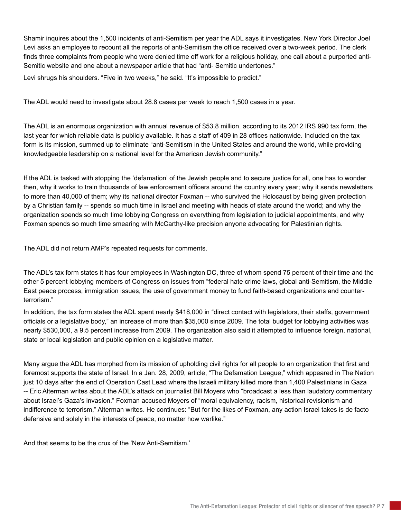Shamir inquires about the 1,500 incidents of anti-Semitism per year the ADL says it investigates. New York Director Joel Levi asks an employee to recount all the reports of anti-Semitism the office received over a two-week period. The clerk finds three complaints from people who were denied time off work for a religious holiday, one call about a purported anti-Semitic website and one about a newspaper article that had "anti- Semitic undertones."

Levi shrugs his shoulders. "Five in two weeks," he said. "It's impossible to predict."

The ADL would need to investigate about 28.8 cases per week to reach 1,500 cases in a year.

The ADL is an enormous organization with annual revenue of \$53.8 million, according to its 2012 IRS 990 tax form, the last year for which reliable data is publicly available. It has a staff of 409 in 28 offices nationwide. Included on the tax form is its mission, summed up to eliminate "anti-Semitism in the United States and around the world, while providing knowledgeable leadership on a national level for the American Jewish community."

If the ADL is tasked with stopping the 'defamation' of the Jewish people and to secure justice for all, one has to wonder then, why it works to train thousands of law enforcement officers around the country every year; why it sends newsletters to more than 40,000 of them; why its national director Foxman -- who survived the Holocaust by being given protection by a Christian family -- spends so much time in Israel and meeting with heads of state around the world; and why the organization spends so much time lobbying Congress on everything from legislation to judicial appointments, and why Foxman spends so much time smearing with McCarthy-like precision anyone advocating for Palestinian rights.

The ADL did not return AMP's repeated requests for comments.

The ADL's tax form states it has four employees in Washington DC, three of whom spend 75 percent of their time and the other 5 percent lobbying members of Congress on issues from "federal hate crime laws, global anti-Semitism, the Middle East peace process, immigration issues, the use of government money to fund faith-based organizations and counterterrorism."

In addition, the tax form states the ADL spent nearly \$418,000 in "direct contact with legislators, their staffs, government officials or a legislative body," an increase of more than \$35,000 since 2009. The total budget for lobbying activities was nearly \$530,000, a 9.5 percent increase from 2009. The organization also said it attempted to influence foreign, national, state or local legislation and public opinion on a legislative matter.

Many argue the ADL has morphed from its mission of upholding civil rights for all people to an organization that first and foremost supports the state of Israel. In a Jan. 28, 2009, article, "The Defamation League," which appeared in The Nation just 10 days after the end of Operation Cast Lead where the Israeli military killed more than 1,400 Palestinians in Gaza -- Eric Alterman writes about the ADL's attack on journalist Bill Moyers who "broadcast a less than laudatory commentary about Israel's Gaza's invasion." Foxman accused Moyers of "moral equivalency, racism, historical revisionism and indifference to terrorism," Alterman writes. He continues: "But for the likes of Foxman, any action Israel takes is de facto defensive and solely in the interests of peace, no matter how warlike."

And that seems to be the crux of the 'New Anti-Semitism.'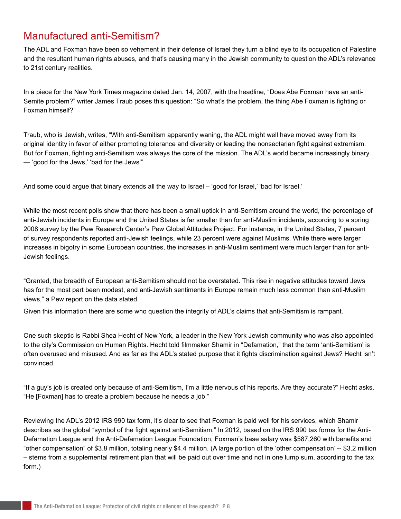## Manufactured anti-Semitism?

The ADL and Foxman have been so vehement in their defense of Israel they turn a blind eye to its occupation of Palestine and the resultant human rights abuses, and that's causing many in the Jewish community to question the ADL's relevance to 21st century realities.

In a piece for the New York Times magazine dated Jan. 14, 2007, with the headline, "Does Abe Foxman have an anti-Semite problem?" writer James Traub poses this question: "So what's the problem, the thing Abe Foxman is fighting or Foxman himself?"

Traub, who is Jewish, writes, "With anti-Semitism apparently waning, the ADL might well have moved away from its original identity in favor of either promoting tolerance and diversity or leading the nonsectarian fight against extremism. But for Foxman, fighting anti-Semitism was always the core of the mission. The ADL's world became increasingly binary — 'good for the Jews,' 'bad for the Jews'"

And some could argue that binary extends all the way to Israel – 'good for Israel,' 'bad for Israel.'

While the most recent polls show that there has been a small uptick in anti-Semitism around the world, the percentage of anti-Jewish incidents in Europe and the United States is far smaller than for anti-Muslim incidents, according to a spring 2008 survey by the Pew Research Center's Pew Global Attitudes Project. For instance, in the United States, 7 percent of survey respondents reported anti-Jewish feelings, while 23 percent were against Muslims. While there were larger increases in bigotry in some European countries, the increases in anti-Muslim sentiment were much larger than for anti-Jewish feelings.

"Granted, the breadth of European anti-Semitism should not be overstated. This rise in negative attitudes toward Jews has for the most part been modest, and anti-Jewish sentiments in Europe remain much less common than anti-Muslim views," a Pew report on the data stated.

Given this information there are some who question the integrity of ADL's claims that anti-Semitism is rampant.

One such skeptic is Rabbi Shea Hecht of New York, a leader in the New York Jewish community who was also appointed to the city's Commission on Human Rights. Hecht told filmmaker Shamir in "Defamation," that the term 'anti-Semitism' is often overused and misused. And as far as the ADL's stated purpose that it fights discrimination against Jews? Hecht isn't convinced.

"If a guy's job is created only because of anti-Semitism, I'm a little nervous of his reports. Are they accurate?" Hecht asks. "He [Foxman] has to create a problem because he needs a job."

Reviewing the ADL's 2012 IRS 990 tax form, it's clear to see that Foxman is paid well for his services, which Shamir describes as the global "symbol of the fight against anti-Semitism." In 2012, based on the IRS 990 tax forms for the Anti-Defamation League and the Anti-Defamation League Foundation, Foxman's base salary was \$587,260 with benefits and "other compensation" of \$3.8 million, totaling nearly \$4.4 million. (A large portion of the 'other compensation' -- \$3.2 million – stems from a supplemental retirement plan that will be paid out over time and not in one lump sum, according to the tax form.)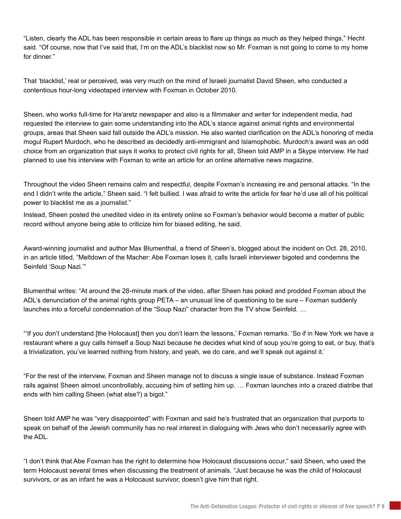"Listen, clearly the ADL has been responsible in certain areas to flare up things as much as they helped things," Hecht said. "Of course, now that I've said that, I'm on the ADL's blacklist now so Mr. Foxman is not going to come to my home for dinner."

That 'blacklist,' real or perceived, was very much on the mind of Israeli journalist David Sheen, who conducted a contentious hour-long videotaped interview with Foxman in October 2010.

Sheen, who works full-time for Ha'aretz newspaper and also is a filmmaker and writer for independent media, had requested the interview to gain some understanding into the ADL's stance against animal rights and environmental groups, areas that Sheen said fall outside the ADL's mission. He also wanted clarification on the ADL's honoring of media mogul Rupert Murdoch, who he described as decidedly anti-immigrant and Islamophobic. Murdoch's award was an odd choice from an organization that says it works to protect civil rights for all, Sheen told AMP in a Skype interview. He had planned to use his interview with Foxman to write an article for an online alternative news magazine.

Throughout the video Sheen remains calm and respectful, despite Foxman's increasing ire and personal attacks. "In the end I didn't write the article," Sheen said. "I felt bullied. I was afraid to write the article for fear he'd use all of his political power to blacklist me as a journalist."

Instead, Sheen posted the unedited video in its entirety online so Foxman's behavior would become a matter of public record without anyone being able to criticize him for biased editing, he said.

Award-winning journalist and author Max Blumenthal, a friend of Sheen's, blogged about the incident on Oct. 28, 2010, in an article titled, "Meltdown of the Macher: Abe Foxman loses it, calls Israeli interviewer bigoted and condemns the Seinfeld 'Soup Nazi.'"

Blumenthal writes: "At around the 28-minute mark of the video, after Sheen has poked and prodded Foxman about the ADL's denunciation of the animal rights group PETA – an unusual line of questioning to be sure – Foxman suddenly launches into a forceful condemnation of the "Soup Nazi" character from the TV show Seinfeld. …

"'If you don't understand [the Holocaust] then you don't learn the lessons,' Foxman remarks. 'So if in New York we have a restaurant where a guy calls himself a Soup Nazi because he decides what kind of soup you're going to eat, or buy, that's a trivialization, you've learned nothing from history, and yeah, we do care, and we'll speak out against it.'

"For the rest of the interview, Foxman and Sheen manage not to discuss a single issue of substance. Instead Foxman rails against Sheen almost uncontrollably, accusing him of setting him up. … Foxman launches into a crazed diatribe that ends with him calling Sheen (what else?) a bigot."

Sheen told AMP he was "very disappointed" with Foxman and said he's frustrated that an organization that purports to speak on behalf of the Jewish community has no real interest in dialoguing with Jews who don't necessarily agree with the ADL.

"I don't think that Abe Foxman has the right to determine how Holocaust discussions occur," said Sheen, who used the term Holocaust several times when discussing the treatment of animals. "Just because he was the child of Holocaust survivors, or as an infant he was a Holocaust survivor, doesn't give him that right.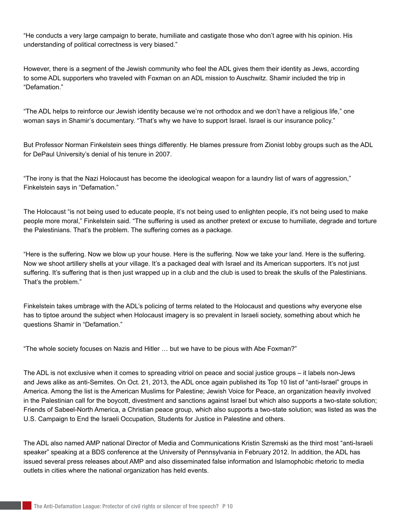"He conducts a very large campaign to berate, humiliate and castigate those who don't agree with his opinion. His understanding of political correctness is very biased."

However, there is a segment of the Jewish community who feel the ADL gives them their identity as Jews, according to some ADL supporters who traveled with Foxman on an ADL mission to Auschwitz. Shamir included the trip in "Defamation."

"The ADL helps to reinforce our Jewish identity because we're not orthodox and we don't have a religious life," one woman says in Shamir's documentary. "That's why we have to support Israel. Israel is our insurance policy."

But Professor Norman Finkelstein sees things differently. He blames pressure from Zionist lobby groups such as the ADL for DePaul University's denial of his tenure in 2007.

"The irony is that the Nazi Holocaust has become the ideological weapon for a laundry list of wars of aggression," Finkelstein says in "Defamation."

The Holocaust "is not being used to educate people, it's not being used to enlighten people, it's not being used to make people more moral," Finkelstein said. "The suffering is used as another pretext or excuse to humiliate, degrade and torture the Palestinians. That's the problem. The suffering comes as a package.

"Here is the suffering. Now we blow up your house. Here is the suffering. Now we take your land. Here is the suffering. Now we shoot artillery shells at your village. It's a packaged deal with Israel and its American supporters. It's not just suffering. It's suffering that is then just wrapped up in a club and the club is used to break the skulls of the Palestinians. That's the problem."

Finkelstein takes umbrage with the ADL's policing of terms related to the Holocaust and questions why everyone else has to tiptoe around the subject when Holocaust imagery is so prevalent in Israeli society, something about which he questions Shamir in "Defamation."

"The whole society focuses on Nazis and Hitler … but we have to be pious with Abe Foxman?"

The ADL is not exclusive when it comes to spreading vitriol on peace and social justice groups – it labels non-Jews and Jews alike as anti-Semites. On Oct. 21, 2013, the ADL once again published its Top 10 list of "anti-Israel" groups in America. Among the list is the American Muslims for Palestine; Jewish Voice for Peace, an organization heavily involved in the Palestinian call for the boycott, divestment and sanctions against Israel but which also supports a two-state solution; Friends of Sabeel-North America, a Christian peace group, which also supports a two-state solution; was listed as was the U.S. Campaign to End the Israeli Occupation, Students for Justice in Palestine and others.

The ADL also named AMP national Director of Media and Communications Kristin Szremski as the third most "anti-Israeli speaker" speaking at a BDS conference at the University of Pennsylvania in February 2012. In addition, the ADL has issued several press releases about AMP and also disseminated false information and Islamophobic rhetoric to media outlets in cities where the national organization has held events.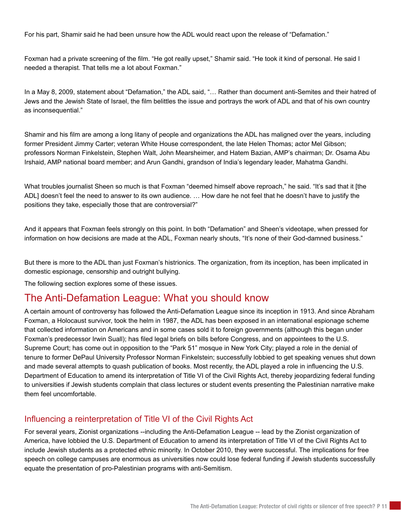For his part, Shamir said he had been unsure how the ADL would react upon the release of "Defamation."

Foxman had a private screening of the film. "He got really upset," Shamir said. "He took it kind of personal. He said I needed a therapist. That tells me a lot about Foxman."

In a May 8, 2009, statement about "Defamation," the ADL said, "… Rather than document anti-Semites and their hatred of Jews and the Jewish State of Israel, the film belittles the issue and portrays the work of ADL and that of his own country as inconsequential."

Shamir and his film are among a long litany of people and organizations the ADL has maligned over the years, including former President Jimmy Carter; veteran White House correspondent, the late Helen Thomas; actor Mel Gibson; professors Norman Finkelstein, Stephen Walt, John Mearsheimer, and Hatem Bazian, AMP's chairman; Dr. Osama Abu Irshaid, AMP national board member; and Arun Gandhi, grandson of India's legendary leader, Mahatma Gandhi.

What troubles journalist Sheen so much is that Foxman "deemed himself above reproach," he said. "It's sad that it [the ADL] doesn't feel the need to answer to its own audience. … How dare he not feel that he doesn't have to justify the positions they take, especially those that are controversial?"

And it appears that Foxman feels strongly on this point. In both "Defamation" and Sheen's videotape, when pressed for information on how decisions are made at the ADL, Foxman nearly shouts, "It's none of their God-damned business."

But there is more to the ADL than just Foxman's histrionics. The organization, from its inception, has been implicated in domestic espionage, censorship and outright bullying.

The following section explores some of these issues.

### The Anti-Defamation League: What you should know

A certain amount of controversy has followed the Anti-Defamation League since its inception in 1913. And since Abraham Foxman, a Holocaust survivor, took the helm in 1987, the ADL has been exposed in an international espionage scheme that collected information on Americans and in some cases sold it to foreign governments (although this began under Foxman's predecessor Irwin Suall); has filed legal briefs on bills before Congress, and on appointees to the U.S. Supreme Court; has come out in opposition to the "Park 51" mosque in New York City; played a role in the denial of tenure to former DePaul University Professor Norman Finkelstein; successfully lobbied to get speaking venues shut down and made several attempts to quash publication of books. Most recently, the ADL played a role in influencing the U.S. Department of Education to amend its interpretation of Title VI of the Civil Rights Act, thereby jeopardizing federal funding to universities if Jewish students complain that class lectures or student events presenting the Palestinian narrative make them feel uncomfortable.

#### Influencing a reinterpretation of Title VI of the Civil Rights Act

For several years, Zionist organizations --including the Anti-Defamation League -- lead by the Zionist organization of America, have lobbied the U.S. Department of Education to amend its interpretation of Title VI of the Civil Rights Act to include Jewish students as a protected ethnic minority. In October 2010, they were successful. The implications for free speech on college campuses are enormous as universities now could lose federal funding if Jewish students successfully equate the presentation of pro-Palestinian programs with anti-Semitism.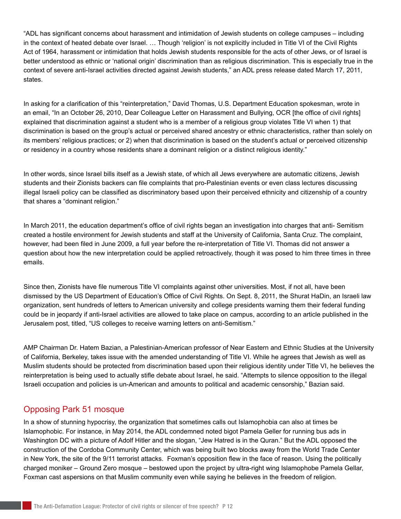"ADL has significant concerns about harassment and intimidation of Jewish students on college campuses – including in the context of heated debate over Israel. … Though 'religion' is not explicitly included in Title VI of the Civil Rights Act of 1964, harassment or intimidation that holds Jewish students responsible for the acts of other Jews, or of Israel is better understood as ethnic or 'national origin' discrimination than as religious discrimination. This is especially true in the context of severe anti-Israel activities directed against Jewish students," an ADL press release dated March 17, 2011, states.

In asking for a clarification of this "reinterpretation," David Thomas, U.S. Department Education spokesman, wrote in an email, "In an October 26, 2010, Dear Colleague Letter on Harassment and Bullying, OCR [the office of civil rights] explained that discrimination against a student who is a member of a religious group violates Title VI when 1) that discrimination is based on the group's actual or perceived shared ancestry or ethnic characteristics, rather than solely on its members' religious practices; or 2) when that discrimination is based on the student's actual or perceived citizenship or residency in a country whose residents share a dominant religion or a distinct religious identity."

In other words, since Israel bills itself as a Jewish state, of which all Jews everywhere are automatic citizens, Jewish students and their Zionists backers can file complaints that pro-Palestinian events or even class lectures discussing illegal Israeli policy can be classified as discriminatory based upon their perceived ethnicity and citizenship of a country that shares a "dominant religion."

In March 2011, the education department's office of civil rights began an investigation into charges that anti- Semitism created a hostile environment for Jewish students and staff at the University of California, Santa Cruz. The complaint, however, had been filed in June 2009, a full year before the re-interpretation of Title VI. Thomas did not answer a question about how the new interpretation could be applied retroactively, though it was posed to him three times in three emails.

Since then, Zionists have file numerous Title VI complaints against other universities. Most, if not all, have been dismissed by the US Department of Education's Office of Civil Rights. On Sept. 8, 2011, the Shurat HaDin, an Israeli law organization, sent hundreds of letters to American university and college presidents warning them their federal funding could be in jeopardy if anti-Israel activities are allowed to take place on campus, according to an article published in the Jerusalem post, titled, "US colleges to receive warning letters on anti-Semitism."

AMP Chairman Dr. Hatem Bazian, a Palestinian-American professor of Near Eastern and Ethnic Studies at the University of California, Berkeley, takes issue with the amended understanding of Title VI. While he agrees that Jewish as well as Muslim students should be protected from discrimination based upon their religious identity under Title VI, he believes the reinterpretation is being used to actually stifle debate about Israel, he said. "Attempts to silence opposition to the illegal Israeli occupation and policies is un-American and amounts to political and academic censorship," Bazian said.

#### Opposing Park 51 mosque

In a show of stunning hypocrisy, the organization that sometimes calls out Islamophobia can also at times be Islamophobic. For instance, in May 2014, the ADL condemned noted bigot Pamela Geller for running bus ads in Washington DC with a picture of Adolf Hitler and the slogan, "Jew Hatred is in the Quran." But the ADL opposed the construction of the Cordoba Community Center, which was being built two blocks away from the World Trade Center in New York, the site of the 9/11 terrorist attacks. Foxman's opposition flew in the face of reason. Using the politically charged moniker – Ground Zero mosque – bestowed upon the project by ultra-right wing Islamophobe Pamela Gellar, Foxman cast aspersions on that Muslim community even while saying he believes in the freedom of religion.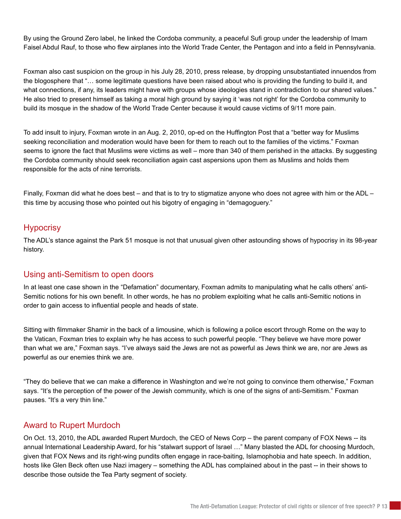By using the Ground Zero label, he linked the Cordoba community, a peaceful Sufi group under the leadership of Imam Faisel Abdul Rauf, to those who flew airplanes into the World Trade Center, the Pentagon and into a field in Pennsylvania.

Foxman also cast suspicion on the group in his July 28, 2010, press release, by dropping unsubstantiated innuendos from the blogosphere that "… some legitimate questions have been raised about who is providing the funding to build it, and what connections, if any, its leaders might have with groups whose ideologies stand in contradiction to our shared values." He also tried to present himself as taking a moral high ground by saying it 'was not right' for the Cordoba community to build its mosque in the shadow of the World Trade Center because it would cause victims of 9/11 more pain.

To add insult to injury, Foxman wrote in an Aug. 2, 2010, op-ed on the Huffington Post that a "better way for Muslims seeking reconciliation and moderation would have been for them to reach out to the families of the victims." Foxman seems to ignore the fact that Muslims were victims as well – more than 340 of them perished in the attacks. By suggesting the Cordoba community should seek reconciliation again cast aspersions upon them as Muslims and holds them responsible for the acts of nine terrorists.

Finally, Foxman did what he does best – and that is to try to stigmatize anyone who does not agree with him or the ADL – this time by accusing those who pointed out his bigotry of engaging in "demagoguery."

#### **Hypocrisy**

The ADL's stance against the Park 51 mosque is not that unusual given other astounding shows of hypocrisy in its 98-year history.

#### Using anti-Semitism to open doors

In at least one case shown in the "Defamation" documentary, Foxman admits to manipulating what he calls others' anti-Semitic notions for his own benefit. In other words, he has no problem exploiting what he calls anti-Semitic notions in order to gain access to influential people and heads of state.

Sitting with filmmaker Shamir in the back of a limousine, which is following a police escort through Rome on the way to the Vatican, Foxman tries to explain why he has access to such powerful people. "They believe we have more power than what we are," Foxman says. "I've always said the Jews are not as powerful as Jews think we are, nor are Jews as powerful as our enemies think we are.

"They do believe that we can make a difference in Washington and we're not going to convince them otherwise," Foxman says. "It's the perception of the power of the Jewish community, which is one of the signs of anti-Semitism." Foxman pauses. "It's a very thin line."

#### Award to Rupert Murdoch

On Oct. 13, 2010, the ADL awarded Rupert Murdoch, the CEO of News Corp – the parent company of FOX News -- its annual International Leadership Award, for his "stalwart support of Israel …" Many blasted the ADL for choosing Murdoch, given that FOX News and its right-wing pundits often engage in race-baiting, Islamophobia and hate speech. In addition, hosts like Glen Beck often use Nazi imagery – something the ADL has complained about in the past -- in their shows to describe those outside the Tea Party segment of society.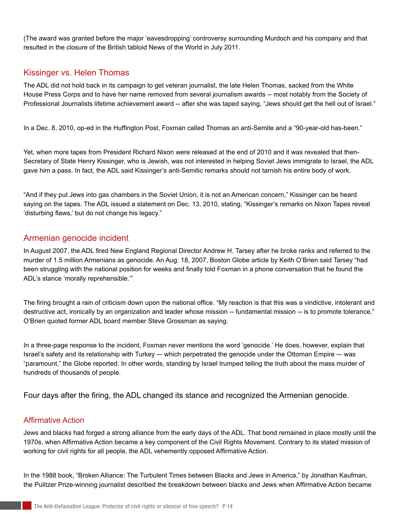(The award was granted before the major 'eavesdropping' controversy surrounding Murdoch and his company and that resulted in the closure of the British tabloid News of the World in July 2011.

#### Kissinger vs. Helen Thomas

The ADL did not hold back in its campaign to get veteran journalist, the late Helen Thomas, sacked from the White House Press Corps and to have her name removed from several journalism awards -- most notably from the Society of Professional Journalists lifetime achievement award -- after she was taped saying, "Jews should get the hell out of Israel."

In a Dec. 8, 2010, op-ed in the Huffington Post, Foxman called Thomas an anti-Semite and a "90-year-old has-been."

Yet, when more tapes from President Richard Nixon were released at the end of 2010 and it was revealed that then-Secretary of State Henry Kissinger, who is Jewish, was not interested in helping Soviet Jews immigrate to Israel, the ADL gave him a pass. In fact, the ADL said Kissinger's anti-Semitic remarks should not tarnish his entire body of work.

"And if they put Jews into gas chambers in the Soviet Union, it is not an American concern," Kissinger can be heard saying on the tapes. The ADL issued a statement on Dec. 13, 2010, stating, "Kissinger's remarks on Nixon Tapes reveal 'disturbing flaws,' but do not change his legacy."

#### Armenian genocide incident

In August 2007, the ADL fired New England Regional Director Andrew H. Tarsey after he broke ranks and referred to the murder of 1.5 million Armenians as genocide. An Aug. 18, 2007, Boston Globe article by Keith O'Brien said Tarsey "had been struggling with the national position for weeks and finally told Foxman in a phone conversation that he found the ADL's stance 'morally reprehensible.'"

The firing brought a rain of criticism down upon the national office. "My reaction is that this was a vindictive, intolerant and destructive act, ironically by an organization and leader whose mission -- fundamental mission -- is to promote tolerance," O'Brien quoted former ADL board member Steve Grossman as saying.

In a three-page response to the incident, Foxman never mentions the word 'genocide.' He does, however, explain that Israel's safety and its relationship with Turkey -- which perpetrated the genocide under the Ottoman Empire -- was "paramount," the Globe reported. In other words, standing by Israel trumped telling the truth about the mass murder of hundreds of thousands of people.

Four days after the firing, the ADL changed its stance and recognized the Armenian genocide.

#### Affirmative Action

Jews and blacks had forged a strong alliance from the early days of the ADL. That bond remained in place mostly until the 1970s, when Affirmative Action became a key component of the Civil Rights Movement. Contrary to its stated mission of working for civil rights for all people, the ADL vehemently opposed Affirmative Action.

In the 1988 book, "Broken Alliance: The Turbulent Times between Blacks and Jews in America," by Jonathan Kaufman, the Pulitzer Prize-winning journalist described the breakdown between blacks and Jews when Affirmative Action became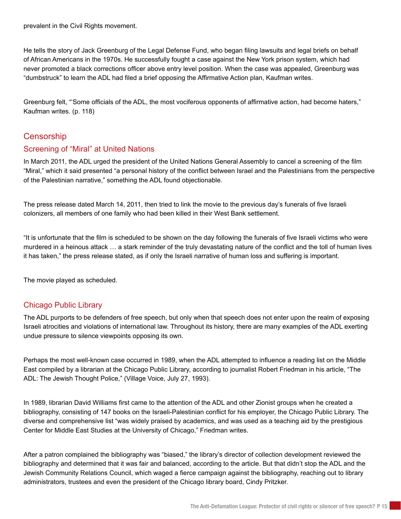prevalent in the Civil Rights movement.

He tells the story of Jack Greenburg of the Legal Defense Fund, who began filing lawsuits and legal briefs on behalf of African Americans in the 1970s. He successfully fought a case against the New York prison system, which had never promoted a black corrections officer above entry level position. When the case was appealed, Greenburg was "dumbstruck" to learn the ADL had filed a brief opposing the Affirmative Action plan, Kaufman writes.

Greenburg felt, "'Some officials of the ADL, the most vociferous opponents of affirmative action, had become haters," Kaufman writes. (p. 118)

#### **Censorship**

#### Screening of "Miral" at United Nations

In March 2011, the ADL urged the president of the United Nations General Assembly to cancel a screening of the film "Miral," which it said presented "a personal history of the conflict between Israel and the Palestinians from the perspective of the Palestinian narrative," something the ADL found objectionable.

The press release dated March 14, 2011, then tried to link the movie to the previous day's funerals of five Israeli colonizers, all members of one family who had been killed in their West Bank settlement.

"It is unfortunate that the film is scheduled to be shown on the day following the funerals of five Israeli victims who were murdered in a heinous attack … a stark reminder of the truly devastating nature of the conflict and the toll of human lives it has taken," the press release stated, as if only the Israeli narrative of human loss and suffering is important.

The movie played as scheduled.

#### Chicago Public Library

The ADL purports to be defenders of free speech, but only when that speech does not enter upon the realm of exposing Israeli atrocities and violations of international law. Throughout its history, there are many examples of the ADL exerting undue pressure to silence viewpoints opposing its own.

Perhaps the most well-known case occurred in 1989, when the ADL attempted to influence a reading list on the Middle East compiled by a librarian at the Chicago Public Library, according to journalist Robert Friedman in his article, "The ADL: The Jewish Thought Police," (Village Voice, July 27, 1993).

In 1989, librarian David Williams first came to the attention of the ADL and other Zionist groups when he created a bibliography, consisting of 147 books on the Israeli-Palestinian conflict for his employer, the Chicago Public Library. The diverse and comprehensive list "was widely praised by academics, and was used as a teaching aid by the prestigious Center for Middle East Studies at the University of Chicago," Friedman writes.

After a patron complained the bibliography was "biased," the library's director of collection development reviewed the bibliography and determined that it was fair and balanced, according to the article. But that didn't stop the ADL and the Jewish Community Relations Council, which waged a fierce campaign against the bibliography, reaching out to library administrators, trustees and even the president of the Chicago library board, Cindy Pritzker.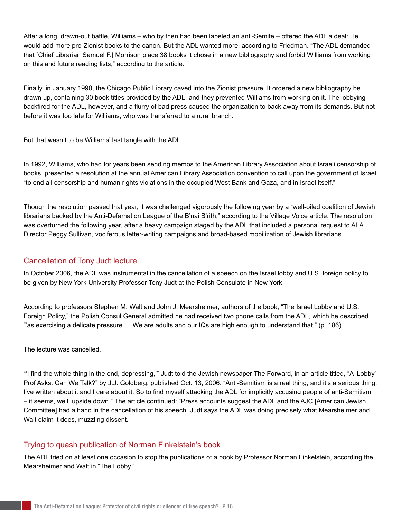After a long, drawn-out battle, Williams – who by then had been labeled an anti-Semite – offered the ADL a deal: He would add more pro-Zionist books to the canon. But the ADL wanted more, according to Friedman. "The ADL demanded that [Chief Librarian Samuel F.] Morrison place 38 books it chose in a new bibliography and forbid Williams from working on this and future reading lists," according to the article.

Finally, in January 1990, the Chicago Public Library caved into the Zionist pressure. It ordered a new bibliography be drawn up, containing 30 book titles provided by the ADL, and they prevented Williams from working on it. The lobbying backfired for the ADL, however, and a flurry of bad press caused the organization to back away from its demands. But not before it was too late for Williams, who was transferred to a rural branch.

But that wasn't to be Williams' last tangle with the ADL.

In 1992, Williams, who had for years been sending memos to the American Library Association about Israeli censorship of books, presented a resolution at the annual American Library Association convention to call upon the government of Israel "to end all censorship and human rights violations in the occupied West Bank and Gaza, and in Israel itself."

Though the resolution passed that year, it was challenged vigorously the following year by a "well-oiled coalition of Jewish librarians backed by the Anti-Defamation League of the B'nai B'rith," according to the Village Voice article. The resolution was overturned the following year, after a heavy campaign staged by the ADL that included a personal request to ALA Director Peggy Sullivan, vociferous letter-writing campaigns and broad-based mobilization of Jewish librarians.

#### Cancellation of Tony Judt lecture

In October 2006, the ADL was instrumental in the cancellation of a speech on the Israel lobby and U.S. foreign policy to be given by New York University Professor Tony Judt at the Polish Consulate in New York.

According to professors Stephen M. Walt and John J. Mearsheimer, authors of the book, "The Israel Lobby and U.S. Foreign Policy," the Polish Consul General admitted he had received two phone calls from the ADL, which he described "'as exercising a delicate pressure … We are adults and our IQs are high enough to understand that." (p. 186)

The lecture was cancelled.

"'I find the whole thing in the end, depressing,'" Judt told the Jewish newspaper The Forward, in an article titled, "A 'Lobby' Prof Asks: Can We Talk?" by J.J. Goldberg, published Oct. 13, 2006. "Anti-Semitism is a real thing, and it's a serious thing. I've written about it and I care about it. So to find myself attacking the ADL for implicitly accusing people of anti-Semitism – it seems, well, upside down." The article continued: "Press accounts suggest the ADL and the AJC [American Jewish Committee] had a hand in the cancellation of his speech. Judt says the ADL was doing precisely what Mearsheimer and Walt claim it does, muzzling dissent."

#### Trying to quash publication of Norman Finkelstein's book

The ADL tried on at least one occasion to stop the publications of a book by Professor Norman Finkelstein, according the Mearsheimer and Walt in "The Lobby."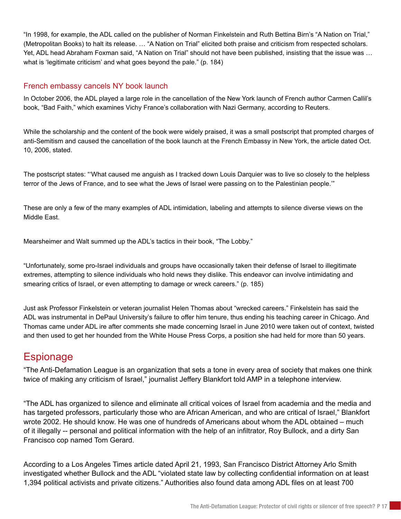"In 1998, for example, the ADL called on the publisher of Norman Finkelstein and Ruth Bettina Birn's "A Nation on Trial," (Metropolitan Books) to halt its release. … "A Nation on Trial" elicited both praise and criticism from respected scholars. Yet, ADL head Abraham Foxman said, "A Nation on Trial" should not have been published, insisting that the issue was … what is 'legitimate criticism' and what goes beyond the pale." (p. 184)

#### French embassy cancels NY book launch

In October 2006, the ADL played a large role in the cancellation of the New York launch of French author Carmen Callil's book, "Bad Faith," which examines Vichy France's collaboration with Nazi Germany, according to Reuters.

While the scholarship and the content of the book were widely praised, it was a small postscript that prompted charges of anti-Semitism and caused the cancellation of the book launch at the French Embassy in New York, the article dated Oct. 10, 2006, stated.

The postscript states: "'What caused me anguish as I tracked down Louis Darquier was to live so closely to the helpless terror of the Jews of France, and to see what the Jews of Israel were passing on to the Palestinian people.'"

These are only a few of the many examples of ADL intimidation, labeling and attempts to silence diverse views on the Middle East.

Mearsheimer and Walt summed up the ADL's tactics in their book, "The Lobby."

"Unfortunately, some pro-Israel individuals and groups have occasionally taken their defense of Israel to illegitimate extremes, attempting to silence individuals who hold news they dislike. This endeavor can involve intimidating and smearing critics of Israel, or even attempting to damage or wreck careers." (p. 185)

Just ask Professor Finkelstein or veteran journalist Helen Thomas about "wrecked careers." Finkelstein has said the ADL was instrumental in DePaul University's failure to offer him tenure, thus ending his teaching career in Chicago. And Thomas came under ADL ire after comments she made concerning Israel in June 2010 were taken out of context, twisted and then used to get her hounded from the White House Press Corps, a position she had held for more than 50 years.

# **Espionage**

"The Anti-Defamation League is an organization that sets a tone in every area of society that makes one think twice of making any criticism of Israel," journalist Jeffery Blankfort told AMP in a telephone interview.

"The ADL has organized to silence and eliminate all critical voices of Israel from academia and the media and has targeted professors, particularly those who are African American, and who are critical of Israel," Blankfort wrote 2002. He should know. He was one of hundreds of Americans about whom the ADL obtained – much of it illegally -- personal and political information with the help of an infiltrator, Roy Bullock, and a dirty San Francisco cop named Tom Gerard.

According to a Los Angeles Times article dated April 21, 1993, San Francisco District Attorney Arlo Smith investigated whether Bullock and the ADL "violated state law by collecting confidential information on at least 1,394 political activists and private citizens." Authorities also found data among ADL files on at least 700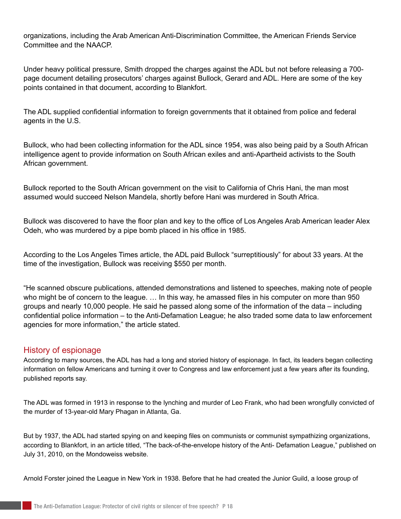organizations, including the Arab American Anti-Discrimination Committee, the American Friends Service Committee and the NAACP.

Under heavy political pressure, Smith dropped the charges against the ADL but not before releasing a 700 page document detailing prosecutors' charges against Bullock, Gerard and ADL. Here are some of the key points contained in that document, according to Blankfort.

The ADL supplied confidential information to foreign governments that it obtained from police and federal agents in the U.S.

Bullock, who had been collecting information for the ADL since 1954, was also being paid by a South African intelligence agent to provide information on South African exiles and anti-Apartheid activists to the South African government.

Bullock reported to the South African government on the visit to California of Chris Hani, the man most assumed would succeed Nelson Mandela, shortly before Hani was murdered in South Africa.

Bullock was discovered to have the floor plan and key to the office of Los Angeles Arab American leader Alex Odeh, who was murdered by a pipe bomb placed in his office in 1985.

According to the Los Angeles Times article, the ADL paid Bullock "surreptitiously" for about 33 years. At the time of the investigation, Bullock was receiving \$550 per month.

"He scanned obscure publications, attended demonstrations and listened to speeches, making note of people who might be of concern to the league. … In this way, he amassed files in his computer on more than 950 groups and nearly 10,000 people. He said he passed along some of the information of the data – including confidential police information – to the Anti-Defamation League; he also traded some data to law enforcement agencies for more information," the article stated.

#### History of espionage

According to many sources, the ADL has had a long and storied history of espionage. In fact, its leaders began collecting information on fellow Americans and turning it over to Congress and law enforcement just a few years after its founding, published reports say.

The ADL was formed in 1913 in response to the lynching and murder of Leo Frank, who had been wrongfully convicted of the murder of 13-year-old Mary Phagan in Atlanta, Ga.

But by 1937, the ADL had started spying on and keeping files on communists or communist sympathizing organizations, according to Blankfort, in an article titled, "The back-of-the-envelope history of the Anti- Defamation League," published on July 31, 2010, on the Mondoweiss website.

Arnold Forster joined the League in New York in 1938. Before that he had created the Junior Guild, a loose group of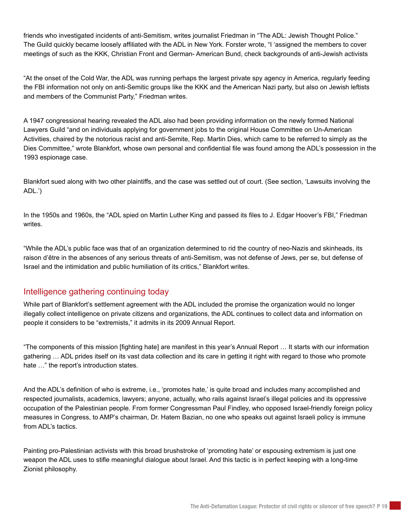friends who investigated incidents of anti-Semitism, writes journalist Friedman in "The ADL: Jewish Thought Police." The Guild quickly became loosely affiliated with the ADL in New York. Forster wrote, "I 'assigned the members to cover meetings of such as the KKK, Christian Front and German- American Bund, check backgrounds of anti-Jewish activists

"At the onset of the Cold War, the ADL was running perhaps the largest private spy agency in America, regularly feeding the FBI information not only on anti-Semitic groups like the KKK and the American Nazi party, but also on Jewish leftists and members of the Communist Party," Friedman writes.

A 1947 congressional hearing revealed the ADL also had been providing information on the newly formed National Lawyers Guild "and on individuals applying for government jobs to the original House Committee on Un-American Activities, chaired by the notorious racist and anti-Semite, Rep. Martin Dies, which came to be referred to simply as the Dies Committee," wrote Blankfort, whose own personal and confidential file was found among the ADL's possession in the 1993 espionage case.

Blankfort sued along with two other plaintiffs, and the case was settled out of court. (See section, 'Lawsuits involving the ADL.')

In the 1950s and 1960s, the "ADL spied on Martin Luther King and passed its files to J. Edgar Hoover's FBI," Friedman writes.

"While the ADL's public face was that of an organization determined to rid the country of neo-Nazis and skinheads, its raison d'être in the absences of any serious threats of anti-Semitism, was not defense of Jews, per se, but defense of Israel and the intimidation and public humiliation of its critics," Blankfort writes.

#### Intelligence gathering continuing today

While part of Blankfort's settlement agreement with the ADL included the promise the organization would no longer illegally collect intelligence on private citizens and organizations, the ADL continues to collect data and information on people it considers to be "extremists," it admits in its 2009 Annual Report.

"The components of this mission [fighting hate] are manifest in this year's Annual Report … It starts with our information gathering … ADL prides itself on its vast data collection and its care in getting it right with regard to those who promote hate  $\ldots$ " the report's introduction states.

And the ADL's definition of who is extreme, i.e., 'promotes hate,' is quite broad and includes many accomplished and respected journalists, academics, lawyers; anyone, actually, who rails against Israel's illegal policies and its oppressive occupation of the Palestinian people. From former Congressman Paul Findley, who opposed Israel-friendly foreign policy measures in Congress, to AMP's chairman, Dr. Hatem Bazian, no one who speaks out against Israeli policy is immune from ADL's tactics.

Painting pro-Palestinian activists with this broad brushstroke of 'promoting hate' or espousing extremism is just one weapon the ADL uses to stifle meaningful dialogue about Israel. And this tactic is in perfect keeping with a long-time Zionist philosophy.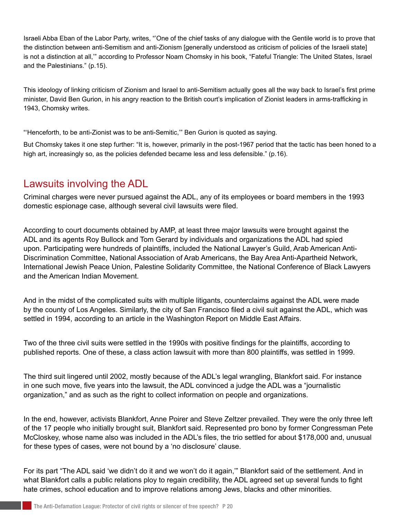Israeli Abba Eban of the Labor Party, writes, "'One of the chief tasks of any dialogue with the Gentile world is to prove that the distinction between anti-Semitism and anti-Zionism [generally understood as criticism of policies of the Israeli state] is not a distinction at all,'" according to Professor Noam Chomsky in his book, "Fateful Triangle: The United States, Israel and the Palestinians." (p.15).

This ideology of linking criticism of Zionism and Israel to anti-Semitism actually goes all the way back to Israel's first prime minister, David Ben Gurion, in his angry reaction to the British court's implication of Zionist leaders in arms-trafficking in 1943, Chomsky writes.

"'Henceforth, to be anti-Zionist was to be anti-Semitic,'" Ben Gurion is quoted as saying.

But Chomsky takes it one step further: "It is, however, primarily in the post-1967 period that the tactic has been honed to a high art, increasingly so, as the policies defended became less and less defensible." (p.16).

## Lawsuits involving the ADL

Criminal charges were never pursued against the ADL, any of its employees or board members in the 1993 domestic espionage case, although several civil lawsuits were filed.

According to court documents obtained by AMP, at least three major lawsuits were brought against the ADL and its agents Roy Bullock and Tom Gerard by individuals and organizations the ADL had spied upon. Participating were hundreds of plaintiffs, included the National Lawyer's Guild, Arab American Anti-Discrimination Committee, National Association of Arab Americans, the Bay Area Anti-Apartheid Network, International Jewish Peace Union, Palestine Solidarity Committee, the National Conference of Black Lawyers and the American Indian Movement.

And in the midst of the complicated suits with multiple litigants, counterclaims against the ADL were made by the county of Los Angeles. Similarly, the city of San Francisco filed a civil suit against the ADL, which was settled in 1994, according to an article in the Washington Report on Middle East Affairs.

Two of the three civil suits were settled in the 1990s with positive findings for the plaintiffs, according to published reports. One of these, a class action lawsuit with more than 800 plaintiffs, was settled in 1999.

The third suit lingered until 2002, mostly because of the ADL's legal wrangling, Blankfort said. For instance in one such move, five years into the lawsuit, the ADL convinced a judge the ADL was a "journalistic organization," and as such as the right to collect information on people and organizations.

In the end, however, activists Blankfort, Anne Poirer and Steve Zeltzer prevailed. They were the only three left of the 17 people who initially brought suit, Blankfort said. Represented pro bono by former Congressman Pete McCloskey, whose name also was included in the ADL's files, the trio settled for about \$178,000 and, unusual for these types of cases, were not bound by a 'no disclosure' clause.

For its part "The ADL said 'we didn't do it and we won't do it again,'" Blankfort said of the settlement. And in what Blankfort calls a public relations ploy to regain credibility, the ADL agreed set up several funds to fight hate crimes, school education and to improve relations among Jews, blacks and other minorities.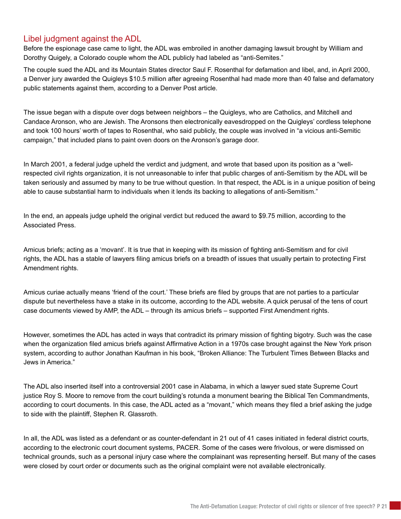#### Libel judgment against the ADL

Before the espionage case came to light, the ADL was embroiled in another damaging lawsuit brought by William and Dorothy Quigely, a Colorado couple whom the ADL publicly had labeled as "anti-Semites."

The couple sued the ADL and its Mountain States director Saul F. Rosenthal for defamation and libel, and, in April 2000, a Denver jury awarded the Quigleys \$10.5 million after agreeing Rosenthal had made more than 40 false and defamatory public statements against them, according to a Denver Post article.

The issue began with a dispute over dogs between neighbors – the Quigleys, who are Catholics, and Mitchell and Candace Aronson, who are Jewish. The Aronsons then electronically eavesdropped on the Quigleys' cordless telephone and took 100 hours' worth of tapes to Rosenthal, who said publicly, the couple was involved in "a vicious anti-Semitic campaign," that included plans to paint oven doors on the Aronson's garage door.

In March 2001, a federal judge upheld the verdict and judgment, and wrote that based upon its position as a "wellrespected civil rights organization, it is not unreasonable to infer that public charges of anti-Semitism by the ADL will be taken seriously and assumed by many to be true without question. In that respect, the ADL is in a unique position of being able to cause substantial harm to individuals when it lends its backing to allegations of anti-Semitism."

In the end, an appeals judge upheld the original verdict but reduced the award to \$9.75 million, according to the Associated Press.

Amicus briefs; acting as a 'movant'. It is true that in keeping with its mission of fighting anti-Semitism and for civil rights, the ADL has a stable of lawyers filing amicus briefs on a breadth of issues that usually pertain to protecting First Amendment rights.

Amicus curiae actually means 'friend of the court.' These briefs are filed by groups that are not parties to a particular dispute but nevertheless have a stake in its outcome, according to the ADL website. A quick perusal of the tens of court case documents viewed by AMP, the ADL – through its amicus briefs – supported First Amendment rights.

However, sometimes the ADL has acted in ways that contradict its primary mission of fighting bigotry. Such was the case when the organization filed amicus briefs against Affirmative Action in a 1970s case brought against the New York prison system, according to author Jonathan Kaufman in his book, "Broken Alliance: The Turbulent Times Between Blacks and Jews in America."

The ADL also inserted itself into a controversial 2001 case in Alabama, in which a lawyer sued state Supreme Court justice Roy S. Moore to remove from the court building's rotunda a monument bearing the Biblical Ten Commandments, according to court documents. In this case, the ADL acted as a "movant," which means they filed a brief asking the judge to side with the plaintiff, Stephen R. Glassroth.

In all, the ADL was listed as a defendant or as counter-defendant in 21 out of 41 cases initiated in federal district courts, according to the electronic court document systems, PACER. Some of the cases were frivolous, or were dismissed on technical grounds, such as a personal injury case where the complainant was representing herself. But many of the cases were closed by court order or documents such as the original complaint were not available electronically.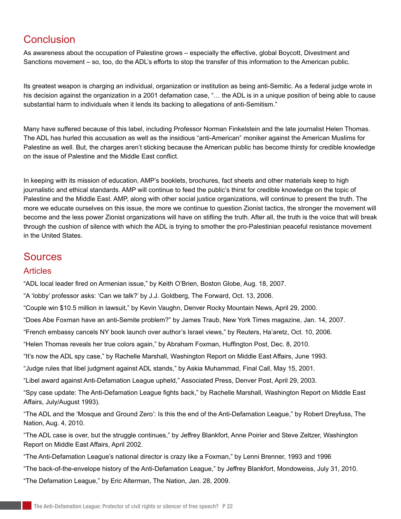# **Conclusion**

As awareness about the occupation of Palestine grows – especially the effective, global Boycott, Divestment and Sanctions movement – so, too, do the ADL's efforts to stop the transfer of this information to the American public.

Its greatest weapon is charging an individual, organization or institution as being anti-Semitic. As a federal judge wrote in his decision against the organization in a 2001 defamation case, "... the ADL is in a unique position of being able to cause substantial harm to individuals when it lends its backing to allegations of anti-Semitism."

Many have suffered because of this label, including Professor Norman Finkelstein and the late journalist Helen Thomas. The ADL has hurled this accusation as well as the insidious "anti-American" moniker against the American Muslims for Palestine as well. But, the charges aren't sticking because the American public has become thirsty for credible knowledge on the issue of Palestine and the Middle East conflict.

In keeping with its mission of education, AMP's booklets, brochures, fact sheets and other materials keep to high journalistic and ethical standards. AMP will continue to feed the public's thirst for credible knowledge on the topic of Palestine and the Middle East. AMP, along with other social justice organizations, will continue to present the truth. The more we educate ourselves on this issue, the more we continue to question Zionist tactics, the stronger the movement will become and the less power Zionist organizations will have on stifling the truth. After all, the truth is the voice that will break through the cushion of silence with which the ADL is trying to smother the pro-Palestinian peaceful resistance movement in the United States.

### Sources

#### **Articles**

"ADL local leader fired on Armenian issue," by Keith O'Brien, Boston Globe, Aug. 18, 2007.

"A 'lobby' professor asks: 'Can we talk?' by J.J. Goldberg, The Forward, Oct. 13, 2006.

"Couple win \$10.5 million in lawsuit," by Kevin Vaughn, Denver Rocky Mountain News, April 29, 2000.

"Does Abe Foxman have an anti-Semite problem?" by James Traub, New York Times magazine, Jan. 14, 2007.

"French embassy cancels NY book launch over author's Israel views," by Reuters, Ha'aretz, Oct. 10, 2006.

"Helen Thomas reveals her true colors again," by Abraham Foxman, Huffington Post, Dec. 8, 2010.

"It's now the ADL spy case," by Rachelle Marshall, Washington Report on Middle East Affairs, June 1993.

"Judge rules that libel judgment against ADL stands," by Askia Muhammad, Final Call, May 15, 2001.

"Libel award against Anti-Defamation League upheld," Associated Press, Denver Post, April 29, 2003.

"Spy case update: The Anti-Defamation League fights back," by Rachelle Marshall, Washington Report on Middle East Affairs, July/August 1993).

"The ADL and the 'Mosque and Ground Zero': Is this the end of the Anti-Defamation League," by Robert Dreyfuss, The Nation, Aug. 4, 2010.

"The ADL case is over, but the struggle continues," by Jeffrey Blankfort, Anne Poirier and Steve Zeltzer, Washington Report on Middle East Affairs, April 2002.

"The Anti-Defamation League's national director is crazy like a Foxman," by Lenni Brenner, 1993 and 1996

"The back-of-the-envelope history of the Anti-Defamation League," by Jeffrey Blankfort, Mondoweiss, July 31, 2010.

"The Defamation League," by Eric Alterman, The Nation, Jan. 28, 2009.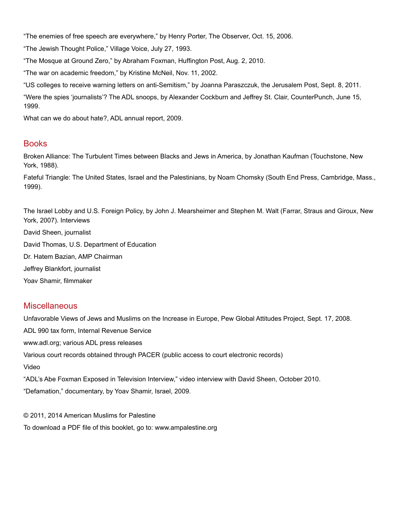"The enemies of free speech are everywhere," by Henry Porter, The Observer, Oct. 15, 2006.

"The Jewish Thought Police," Village Voice, July 27, 1993.

"The Mosque at Ground Zero," by Abraham Foxman, Huffington Post, Aug. 2, 2010.

"The war on academic freedom," by Kristine McNeil, Nov. 11, 2002.

"US colleges to receive warning letters on anti-Semitism," by Joanna Paraszczuk, the Jerusalem Post, Sept. 8, 2011.

"Were the spies 'journalists'? The ADL snoops, by Alexander Cockburn and Jeffrey St. Clair, CounterPunch, June 15, 1999.

What can we do about hate?, ADL annual report, 2009.

#### Books

Broken Alliance: The Turbulent Times between Blacks and Jews in America, by Jonathan Kaufman (Touchstone, New York, 1988).

Fateful Triangle: The United States, Israel and the Palestinians, by Noam Chomsky (South End Press, Cambridge, Mass., 1999).

The Israel Lobby and U.S. Foreign Policy, by John J. Mearsheimer and Stephen M. Walt (Farrar, Straus and Giroux, New York, 2007). Interviews David Sheen, journalist David Thomas, U.S. Department of Education Dr. Hatem Bazian, AMP Chairman Jeffrey Blankfort, journalist Yoav Shamir, filmmaker

#### **Miscellaneous**

Unfavorable Views of Jews and Muslims on the Increase in Europe, Pew Global Attitudes Project, Sept. 17, 2008. ADL 990 tax form, Internal Revenue Service www.adl.org; various ADL press releases Various court records obtained through PACER (public access to court electronic records) Video "ADL's Abe Foxman Exposed in Television Interview," video interview with David Sheen, October 2010. "Defamation," documentary, by Yoav Shamir, Israel, 2009.

© 2011, 2014 American Muslims for Palestine To download a PDF file of this booklet, go to: www.ampalestine.org